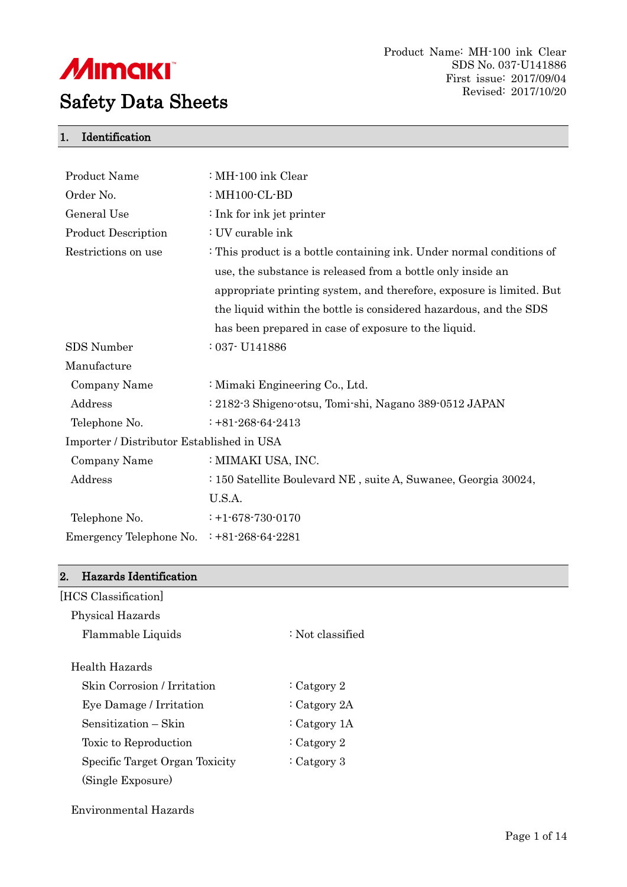

### 1. Identification

| <b>Product Name</b>                       | : MH-100 ink Clear                                                    |
|-------------------------------------------|-----------------------------------------------------------------------|
| Order No.                                 | : $MH100$ - $CL$ -BD                                                  |
| General Use                               | : Ink for ink jet printer                                             |
| <b>Product Description</b>                | : UV curable ink                                                      |
| Restrictions on use                       | : This product is a bottle containing ink. Under normal conditions of |
|                                           | use, the substance is released from a bottle only inside an           |
|                                           | appropriate printing system, and therefore, exposure is limited. But  |
|                                           | the liquid within the bottle is considered hazardous, and the SDS     |
|                                           | has been prepared in case of exposure to the liquid.                  |
| SDS Number                                | $:037$ - U141886                                                      |
| Manufacture                               |                                                                       |
| Company Name                              | : Mimaki Engineering Co., Ltd.                                        |
| Address                                   | : 2182-3 Shigeno-otsu, Tomi-shi, Nagano 389-0512 JAPAN                |
| Telephone No.                             | $: +81 - 268 - 64 - 2413$                                             |
| Importer / Distributor Established in USA |                                                                       |
| Company Name                              | : MIMAKI USA, INC.                                                    |
| Address                                   | : 150 Satellite Boulevard NE, suite A, Suwanee, Georgia 30024,        |
|                                           | U.S.A.                                                                |
| Telephone No.                             | $: +1 - 678 - 730 - 0170$                                             |
| Emergency Telephone No.                   | $: +81 - 268 - 64 - 2281$                                             |
|                                           |                                                                       |

#### 2. Hazards Identification

| [HCS Classification]           |                    |  |
|--------------------------------|--------------------|--|
| Physical Hazards               |                    |  |
| Flammable Liquids              | $:$ Not classified |  |
| Health Hazards                 |                    |  |
| Skin Corrosion / Irritation    | $\cdot$ Catgory 2  |  |
| Eye Damage / Irritation        | : Catgory $2A$     |  |
| Sensitization – Skin           | $\cdot$ Catgory 1A |  |
| Toxic to Reproduction          | $\cdot$ Catgory 2  |  |
| Specific Target Organ Toxicity | $\cdot$ Catgory 3  |  |
| (Single Exposure)              |                    |  |
|                                |                    |  |

Environmental Hazards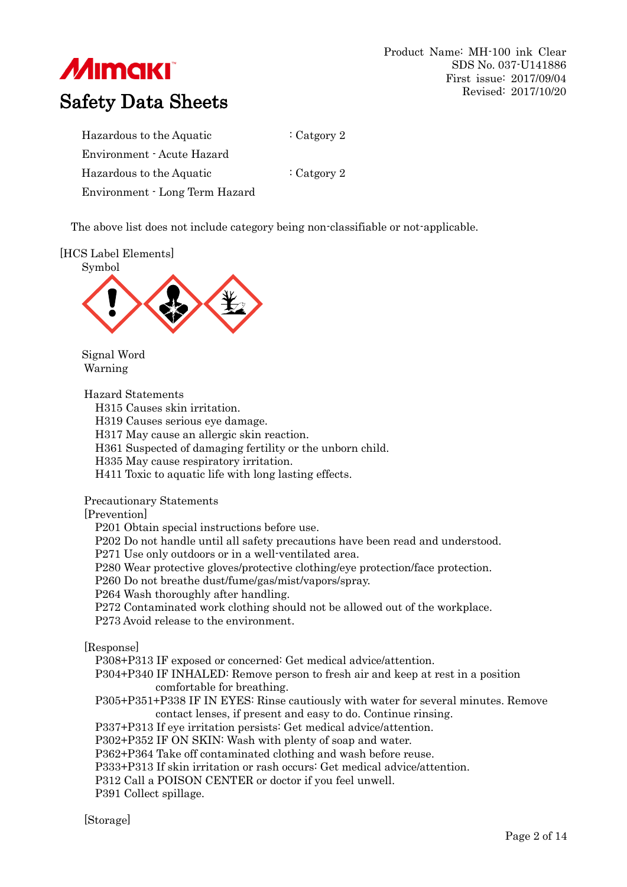

Product Name: MH-100 ink Clear SDS No. 037-U141886 First issue: 2017/09/04 Revised: 2017/10/20

# Safety Data Sheets

| Hazardous to the Aquatic       | : Catgory 2 |
|--------------------------------|-------------|
| Environment - Acute Hazard     |             |
| Hazardous to the Aquatic       | : Catgory 2 |
| Environment - Long Term Hazard |             |

The above list does not include category being non-classifiable or not-applicable.

[HCS Label Elements]



Signal Word Warning

Hazard Statements

H315 Causes skin irritation.

H319 Causes serious eye damage.

H317 May cause an allergic skin reaction.

H361 Suspected of damaging fertility or the unborn child.

H335 May cause respiratory irritation.

H411 Toxic to aquatic life with long lasting effects.

Precautionary Statements

[Prevention]

P201 Obtain special instructions before use.

P202 Do not handle until all safety precautions have been read and understood.

P271 Use only outdoors or in a well-ventilated area.

P280 Wear protective gloves/protective clothing/eye protection/face protection.

P260 Do not breathe dust/fume/gas/mist/vapors/spray.

P264 Wash thoroughly after handling.

P272 Contaminated work clothing should not be allowed out of the workplace.

P273 Avoid release to the environment.

[Response]

P308+P313 IF exposed or concerned: Get medical advice/attention.

P304+P340 IF INHALED: Remove person to fresh air and keep at rest in a position comfortable for breathing.

P305+P351+P338 IF IN EYES: Rinse cautiously with water for several minutes. Remove contact lenses, if present and easy to do. Continue rinsing.

P337+P313 If eye irritation persists: Get medical advice/attention.

P302+P352 IF ON SKIN: Wash with plenty of soap and water.

P362+P364 Take off contaminated clothing and wash before reuse.

P333+P313 If skin irritation or rash occurs: Get medical advice/attention.

P312 Call a POISON CENTER or doctor if you feel unwell.

P391 Collect spillage.

[Storage]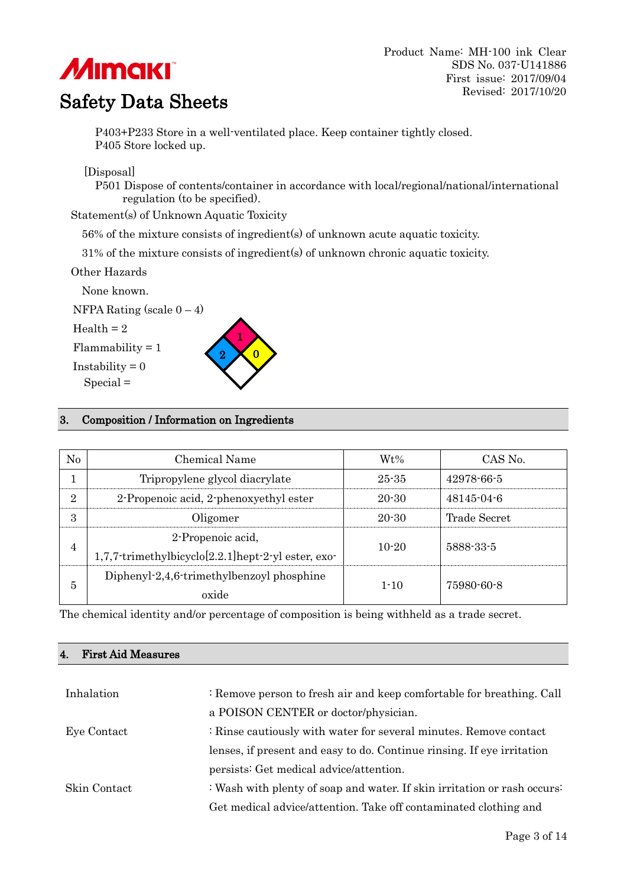# **MIMAKI**

# Safety Data Sheets

P403+P233 Store in a well-ventilated place. Keep container tightly closed. P405 Store locked up.

[Disposal]

P501 Dispose of contents/container in accordance with local/regional/national/international regulation (to be specified).

Statement(s) of Unknown Aquatic Toxicity

56% of the mixture consists of ingredient(s) of unknown acute aquatic toxicity.

31% of the mixture consists of ingredient(s) of unknown chronic aquatic toxicity.

Other Hazards

None known.

NFPA Rating (scale  $0 - 4$ )

 $Health = 2$ 

 $Flammability = 1$ 

Instability  $= 0$ 





### 3. Composition / Information on Ingredients

| No             | Chemical Name                                                                  | $Wt\%$    | CAS No.          |
|----------------|--------------------------------------------------------------------------------|-----------|------------------|
|                | Tripropylene glycol diacrylate                                                 | $25 - 35$ | 42978-66-5       |
| $\overline{2}$ | 2-Propenoic acid, 2-phenoxyethyl ester                                         | $20 - 30$ | $48145 - 04 - 6$ |
| 3              | Oligomer                                                                       | $20 - 30$ | Trade Secret     |
| 4              | 2-Propenoic acid,<br>$1,7,7$ -trimethylbicyclo $[2.2.1]$ hept-2-yl ester, exo- | $10-20$   | 5888-33-5        |
| 5              | Diphenyl-2,4,6-trimethylbenzoyl phosphine<br>oxide                             | $1 - 10$  | 75980-60-8       |

The chemical identity and/or percentage of composition is being withheld as a trade secret.

# 4. First Aid Measures

| Inhalation   | : Remove person to fresh air and keep comfortable for breathing. Call    |  |
|--------------|--------------------------------------------------------------------------|--|
|              | a POISON CENTER or doctor/physician.                                     |  |
| Eye Contact  | : Rinse cautiously with water for several minutes. Remove contact        |  |
|              | lenses, if present and easy to do. Continue rings. If eye irritation     |  |
|              | persists: Get medical advice/attention.                                  |  |
| Skin Contact | : Wash with plenty of soap and water. If skin irritation or rash occurs: |  |
|              | Get medical advice/attention. Take off contaminated clothing and         |  |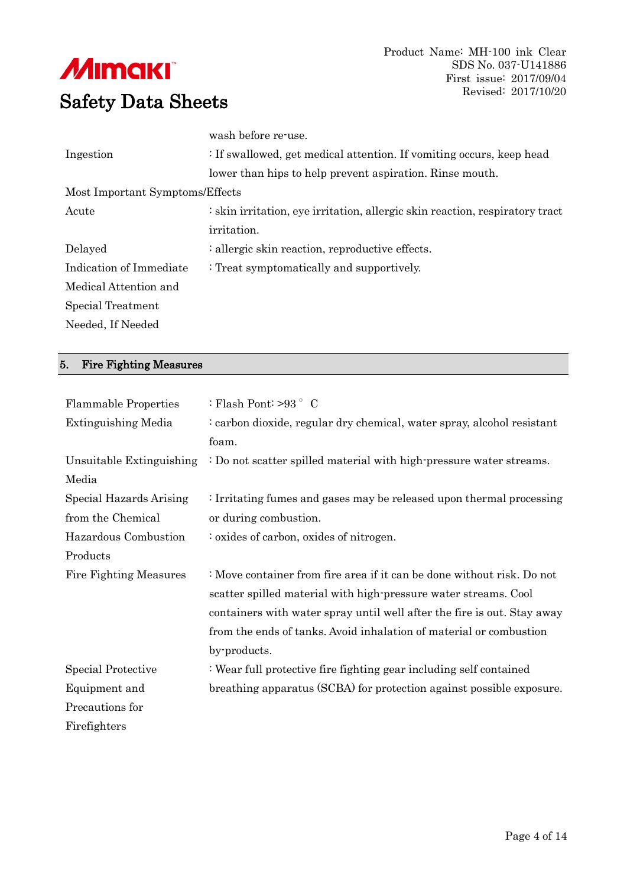

|                                 | wash before re-use.                                                          |
|---------------------------------|------------------------------------------------------------------------------|
| Ingestion                       | : If swallowed, get medical attention. If vomiting occurs, keep head         |
|                                 | lower than hips to help prevent aspiration. Rinse mouth.                     |
| Most Important Symptoms/Effects |                                                                              |
| Acute                           | : skin irritation, eye irritation, allergic skin reaction, respiratory tract |
|                                 | <i>irritation.</i>                                                           |
| Delayed                         | : allergic skin reaction, reproductive effects.                              |
| Indication of Immediate         | : Treat symptomatically and supportively.                                    |
| Medical Attention and           |                                                                              |
| Special Treatment               |                                                                              |
| Needed, If Needed               |                                                                              |
|                                 |                                                                              |

## 5. Fire Fighting Measures

| <b>Flammable Properties</b>   | : Flash Pont: $>93$ $\degree$ C                                         |  |  |
|-------------------------------|-------------------------------------------------------------------------|--|--|
| Extinguishing Media           | : carbon dioxide, regular dry chemical, water spray, alcohol resistant  |  |  |
|                               | foam.                                                                   |  |  |
| Unsuitable Extinguishing      | : Do not scatter spilled material with high-pressure water streams.     |  |  |
| Media                         |                                                                         |  |  |
| Special Hazards Arising       | : Irritating fumes and gases may be released upon thermal processing    |  |  |
| from the Chemical             | or during combustion.                                                   |  |  |
| Hazardous Combustion          | : oxides of carbon, oxides of nitrogen.                                 |  |  |
| Products                      |                                                                         |  |  |
| <b>Fire Fighting Measures</b> | : Move container from fire area if it can be done without risk. Do not  |  |  |
|                               |                                                                         |  |  |
|                               | scatter spilled material with high-pressure water streams. Cool         |  |  |
|                               | containers with water spray until well after the fire is out. Stay away |  |  |
|                               | from the ends of tanks. Avoid inhalation of material or combustion      |  |  |
|                               | by-products.                                                            |  |  |
| <b>Special Protective</b>     | : Wear full protective fire fighting gear including self contained      |  |  |
| Equipment and                 | breathing apparatus (SCBA) for protection against possible exposure.    |  |  |
| Precautions for               |                                                                         |  |  |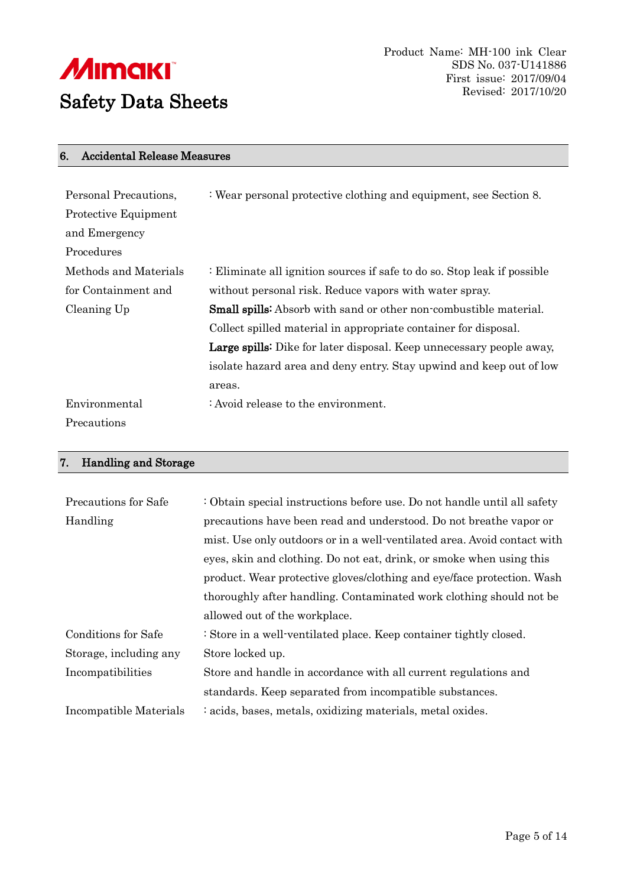

#### 6. Accidental Release Measures

| Personal Precautions, | : Wear personal protective clothing and equipment, see Section 8.        |  |  |
|-----------------------|--------------------------------------------------------------------------|--|--|
| Protective Equipment  |                                                                          |  |  |
| and Emergency         |                                                                          |  |  |
| Procedures            |                                                                          |  |  |
| Methods and Materials | : Eliminate all ignition sources if safe to do so. Stop leak if possible |  |  |
| for Containment and   | without personal risk. Reduce vapors with water spray.                   |  |  |
| Cleaning Up           | <b>Small spills:</b> Absorb with sand or other non-combustible material. |  |  |
|                       | Collect spilled material in appropriate container for disposal.          |  |  |
|                       | Large spills: Dike for later disposal. Keep unnecessary people away,     |  |  |
|                       | isolate hazard area and deny entry. Stay upwind and keep out of low      |  |  |
|                       | areas.                                                                   |  |  |
| Environmental         | : Avoid release to the environment.                                      |  |  |
| Precautions           |                                                                          |  |  |

## 7. Handling and Storage

| Precautions for Safe       | : Obtain special instructions before use. Do not handle until all safety |  |
|----------------------------|--------------------------------------------------------------------------|--|
| Handling                   | precautions have been read and understood. Do not breathe vapor or       |  |
|                            | mist. Use only outdoors or in a well-ventilated area. Avoid contact with |  |
|                            | eyes, skin and clothing. Do not eat, drink, or smoke when using this     |  |
|                            | product. Wear protective gloves/clothing and eye/face protection. Wash   |  |
|                            | thoroughly after handling. Contaminated work clothing should not be      |  |
|                            | allowed out of the workplace.                                            |  |
| <b>Conditions for Safe</b> | : Store in a well-ventilated place. Keep container tightly closed.       |  |
| Storage, including any     | Store locked up.                                                         |  |
| Incompatibilities          | Store and handle in accordance with all current regulations and          |  |
|                            | standards. Keep separated from incompatible substances.                  |  |
| Incompatible Materials     | : acids, bases, metals, oxidizing materials, metal oxides.               |  |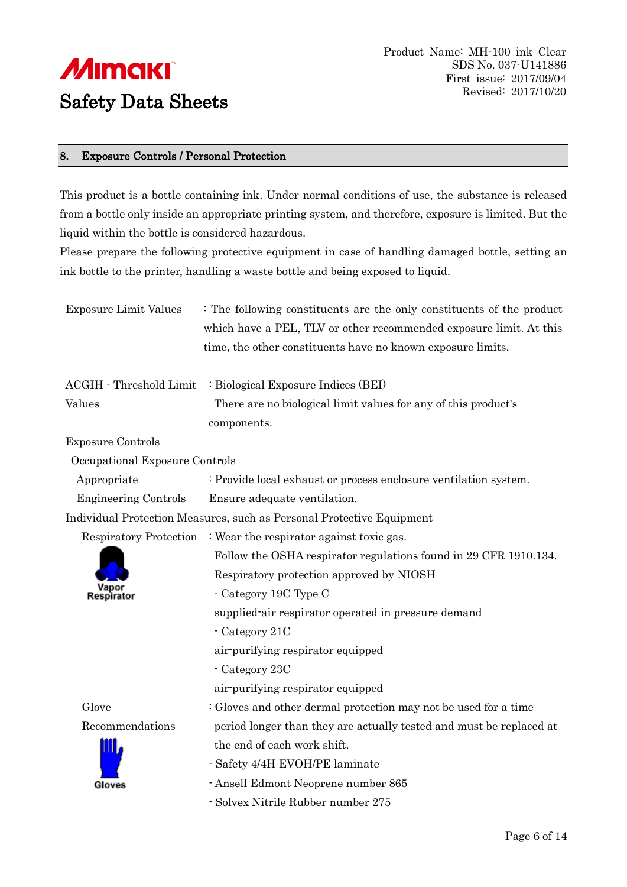

#### 8. Exposure Controls / Personal Protection

This product is a bottle containing ink. Under normal conditions of use, the substance is released from a bottle only inside an appropriate printing system, and therefore, exposure is limited. But the liquid within the bottle is considered hazardous.

Please prepare the following protective equipment in case of handling damaged bottle, setting an ink bottle to the printer, handling a waste bottle and being exposed to liquid.

| <b>Exposure Limit Values</b>   | : The following constituents are the only constituents of the product<br>which have a PEL, TLV or other recommended exposure limit. At this |  |
|--------------------------------|---------------------------------------------------------------------------------------------------------------------------------------------|--|
|                                | time, the other constituents have no known exposure limits.                                                                                 |  |
| <b>ACGIH</b> - Threshold Limit | : Biological Exposure Indices (BEI)                                                                                                         |  |
| Values                         | There are no biological limit values for any of this product's<br>components.                                                               |  |
| <b>Exposure Controls</b>       |                                                                                                                                             |  |
| Occupational Exposure Controls |                                                                                                                                             |  |
| Appropriate                    | : Provide local exhaust or process enclosure ventilation system.                                                                            |  |
| <b>Engineering Controls</b>    | Ensure adequate ventilation.                                                                                                                |  |
|                                | Individual Protection Measures, such as Personal Protective Equipment                                                                       |  |
| Respiratory Protection         | : Wear the respirator against toxic gas.                                                                                                    |  |
|                                | Follow the OSHA respirator regulations found in 29 CFR 1910.134.                                                                            |  |
|                                | Respiratory protection approved by NIOSH                                                                                                    |  |
|                                | - Category 19C Type C                                                                                                                       |  |
|                                | supplied-air respirator operated in pressure demand                                                                                         |  |
|                                | - Category 21C                                                                                                                              |  |
|                                | air-purifying respirator equipped                                                                                                           |  |
|                                | - Category 23C                                                                                                                              |  |
|                                | air-purifying respirator equipped                                                                                                           |  |
| Glove                          | : Gloves and other dermal protection may not be used for a time                                                                             |  |
| Recommendations                | period longer than they are actually tested and must be replaced at                                                                         |  |
|                                | the end of each work shift.                                                                                                                 |  |
|                                | - Safety 4/4H EVOH/PE laminate                                                                                                              |  |
| Gloves                         | - Ansell Edmont Neoprene number 865                                                                                                         |  |
|                                | - Solvex Nitrile Rubber number 275                                                                                                          |  |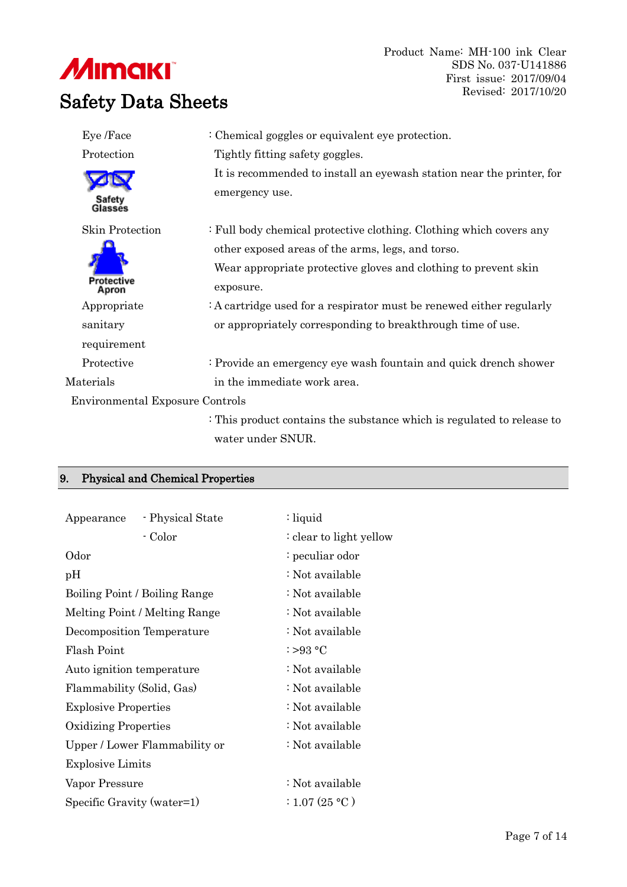# **///IIIIII/III** Safety Data Sheets

| Eye /Face                              | : Chemical goggles or equivalent eye protection.                                        |
|----------------------------------------|-----------------------------------------------------------------------------------------|
| Protection                             | Tightly fitting safety goggles.                                                         |
| Safety<br>Glassés                      | It is recommended to install an eyewash station near the printer, for<br>emergency use. |
| <b>Skin Protection</b>                 | : Full body chemical protective clothing. Clothing which covers any                     |
|                                        | other exposed areas of the arms, legs, and torso.                                       |
|                                        | Wear appropriate protective gloves and clothing to prevent skin                         |
| <b>Protective</b><br>Apron             | exposure.                                                                               |
| Appropriate                            | $: A$ cartridge used for a respirator must be renewed either regularly                  |
| sanitary                               | or appropriately corresponding to breakthrough time of use.                             |
| requirement                            |                                                                                         |
| Protective                             | : Provide an emergency eye wash fountain and quick drench shower                        |
| Materials                              | in the immediate work area.                                                             |
| <b>Environmental Exposure Controls</b> |                                                                                         |
|                                        | : This product contains the substance which is regulated to release to                  |
|                                        | water under SNUR.                                                                       |

## 9. Physical and Chemical Properties

| Appearance                    | - Physical State | : liquid                |
|-------------------------------|------------------|-------------------------|
|                               | - Color          | : clear to light yellow |
| Odor                          |                  | : peculiar odor         |
| pH                            |                  | : Not available         |
| Boiling Point / Boiling Range |                  | : Not available         |
| Melting Point / Melting Range |                  | : Not available         |
| Decomposition Temperature     |                  | : Not available         |
| Flash Point                   |                  | :>93 °C                 |
| Auto ignition temperature     |                  | : Not available         |
| Flammability (Solid, Gas)     |                  | : Not available         |
| <b>Explosive Properties</b>   |                  | : Not available         |
| <b>Oxidizing Properties</b>   |                  | : Not available         |
| Upper / Lower Flammability or |                  | : Not available         |
| <b>Explosive Limits</b>       |                  |                         |
| Vapor Pressure                |                  | : Not available         |
| Specific Gravity (water=1)    |                  | : 1.07 (25 °C)          |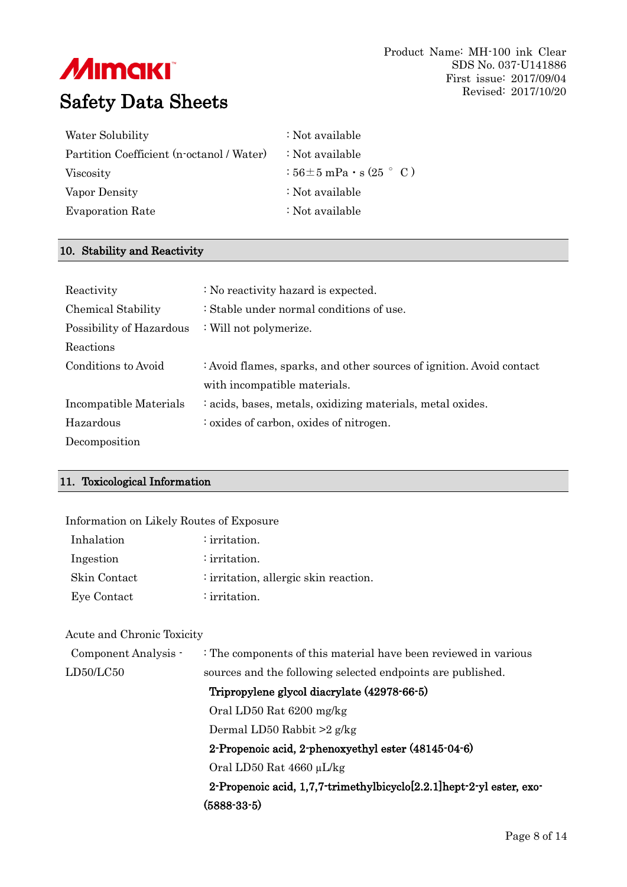| Water Solubility                          | : Not available                           |
|-------------------------------------------|-------------------------------------------|
| Partition Coefficient (n-octanol / Water) | $\therefore$ Not available                |
| Viscosity                                 | $:56\pm 5$ mPa $\cdot$ s (25 $\degree$ C) |
| Vapor Density                             | : Not available                           |
| <b>Evaporation Rate</b>                   | : Not available                           |

#### 10. Stability and Reactivity

| Reactivity               | : No reactivity hazard is expected.                                  |
|--------------------------|----------------------------------------------------------------------|
| Chemical Stability       | : Stable under normal conditions of use.                             |
| Possibility of Hazardous | : Will not polymerize.                                               |
| Reactions                |                                                                      |
| Conditions to Avoid      | : Avoid flames, sparks, and other sources of ignition. Avoid contact |
|                          | with incompatible materials.                                         |
| Incompatible Materials   | : acids, bases, metals, oxidizing materials, metal oxides.           |
| Hazardous                | : oxides of carbon, oxides of nitrogen.                              |
| Decomposition            |                                                                      |

#### 11. Toxicological Information

| Information on Likely Routes of Exposure |                                                                 |
|------------------------------------------|-----------------------------------------------------------------|
| Inhalation                               | $:$ irritation.                                                 |
| Ingestion                                | $:$ irritation.                                                 |
| Skin Contact                             | $:$ irritation, allergic skin reaction.                         |
| Eye Contact                              | : irritation.                                                   |
| Acute and Chronic Toxicity               |                                                                 |
| Component Analysis -                     | : The components of this material have been reviewed in various |
| LD50/LC50                                | sources and the following selected endpoints are published.     |
|                                          | Tripropylene glycol diacrylate (42978-66-5)                     |
|                                          | Oral LD50 Rat 6200 mg/kg                                        |
|                                          | Dermal LD50 Rabbit $>2$ g/kg                                    |
|                                          | 2-Propenoic acid, 2-phenoxyethyl ester (48145-04-6)             |
|                                          | Oral LD50 Rat $4660 \mu L/kg$                                   |
|                                          |                                                                 |

2-Propenoic acid, 1,7,7-trimethylbicyclo[2.2.1]hept-2-yl ester, exo- (5888-33-5)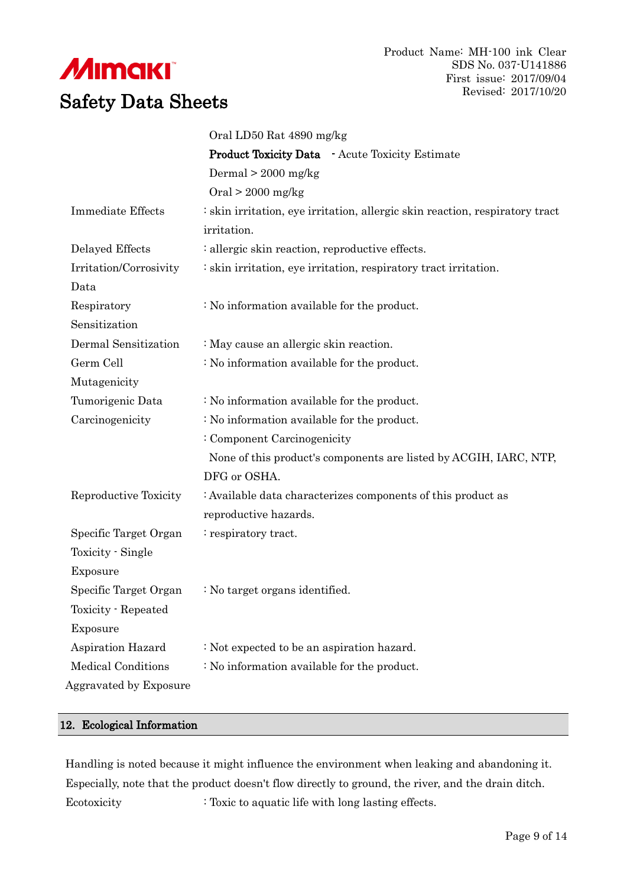

|                           | Oral LD50 Rat 4890 mg/kg                                                     |
|---------------------------|------------------------------------------------------------------------------|
|                           | <b>Product Toxicity Data</b> - Acute Toxicity Estimate                       |
|                           | Dermal $> 2000$ mg/kg                                                        |
|                           | $Oral > 2000$ mg/kg                                                          |
| <b>Immediate Effects</b>  | : skin irritation, eye irritation, allergic skin reaction, respiratory tract |
|                           | irritation.                                                                  |
| Delayed Effects           | : allergic skin reaction, reproductive effects.                              |
| Irritation/Corrosivity    | : skin irritation, eye irritation, respiratory tract irritation.             |
| Data                      |                                                                              |
| Respiratory               | : No information available for the product.                                  |
| Sensitization             |                                                                              |
| Dermal Sensitization      | : May cause an allergic skin reaction.                                       |
| Germ Cell                 | : No information available for the product.                                  |
| Mutagenicity              |                                                                              |
| Tumorigenic Data          | : No information available for the product.                                  |
| Carcinogenicity           | : No information available for the product.                                  |
|                           | : Component Carcinogenicity                                                  |
|                           | None of this product's components are listed by ACGIH, IARC, NTP,            |
|                           | DFG or OSHA.                                                                 |
| Reproductive Toxicity     | : Available data characterizes components of this product as                 |
|                           | reproductive hazards.                                                        |
| Specific Target Organ     | : respiratory tract.                                                         |
| Toxicity - Single         |                                                                              |
| Exposure                  |                                                                              |
| Specific Target Organ     | : No target organs identified.                                               |
| Toxicity - Repeated       |                                                                              |
| Exposure                  |                                                                              |
| Aspiration Hazard         | : Not expected to be an aspiration hazard.                                   |
| <b>Medical Conditions</b> | : No information available for the product.                                  |
| Aggravated by Exposure    |                                                                              |

#### 12. Ecological Information

Handling is noted because it might influence the environment when leaking and abandoning it. Especially, note that the product doesn't flow directly to ground, the river, and the drain ditch. Ecotoxicity : Toxic to aquatic life with long lasting effects.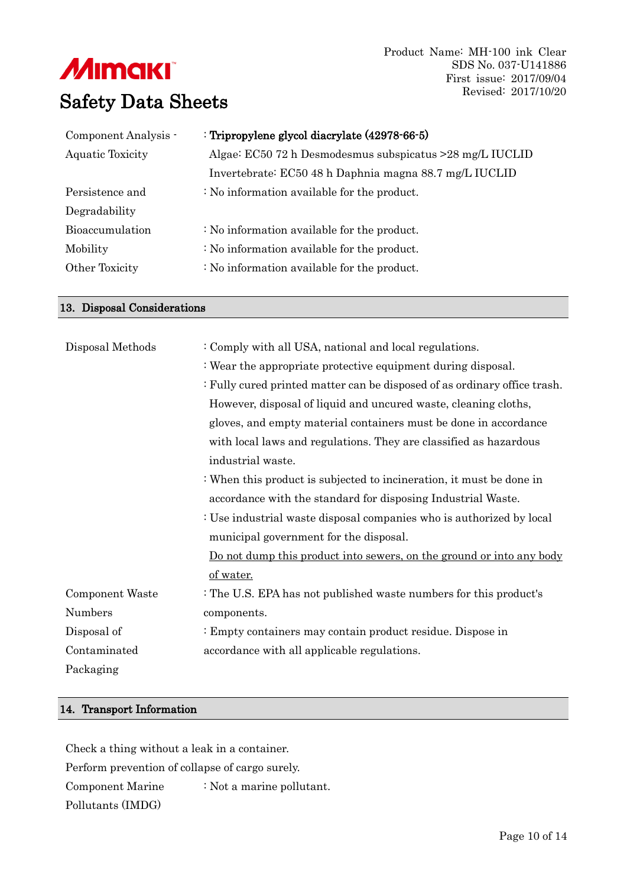Product Name: MH-100 ink Clear SDS No. 037-U141886 First issue: 2017/09/04 Revised: 2017/10/20

| Component Analysis -   | : Tripropylene glycol diacrylate (42978-66-5)             |
|------------------------|-----------------------------------------------------------|
| Aquatic Toxicity       | Algae: EC50 72 h Desmodesmus subspicatus > 28 mg/L IUCLID |
|                        | Invertebrate: EC50 48 h Daphnia magna 88.7 mg/L IUCLID    |
| Persistence and        | $\therefore$ No information available for the product.    |
| Degradability          |                                                           |
| <b>Bioaccumulation</b> | $\therefore$ No information available for the product.    |
| Mobility               | : No information available for the product.               |
| Other Toxicity         | : No information available for the product.               |
|                        |                                                           |

#### 13. Disposal Considerations

| Disposal Methods | : Comply with all USA, national and local regulations.                      |
|------------------|-----------------------------------------------------------------------------|
|                  | : Wear the appropriate protective equipment during disposal.                |
|                  | : Fully cured printed matter can be disposed of as ordinary office trash.   |
|                  | However, disposal of liquid and uncured waste, cleaning cloths,             |
|                  | gloves, and empty material containers must be done in accordance            |
|                  | with local laws and regulations. They are classified as hazardous           |
|                  | industrial waste.                                                           |
|                  | : When this product is subjected to incineration, it must be done in        |
|                  | accordance with the standard for disposing Industrial Waste.                |
|                  | : Use industrial waste disposal companies who is authorized by local        |
|                  | municipal government for the disposal.                                      |
|                  | <u>Do not dump this product into sewers, on the ground or into any body</u> |
|                  | of water.                                                                   |
| Component Waste  | : The U.S. EPA has not published waste numbers for this product's           |
| Numbers          | components.                                                                 |
| Disposal of      | : Empty containers may contain product residue. Dispose in                  |
| Contaminated     | accordance with all applicable regulations.                                 |
| Packaging        |                                                                             |
|                  |                                                                             |

### 14. Transport Information

Check a thing without a leak in a container. Perform prevention of collapse of cargo surely. Component Marine Pollutants (IMDG) : Not a marine pollutant.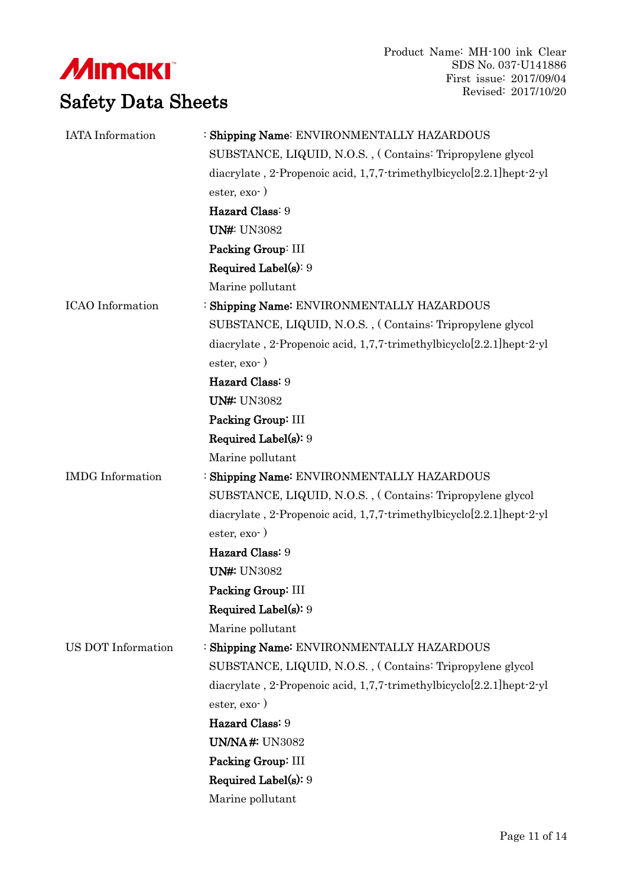**///IIIIII/III** Safety Data Sheets

| <b>IATA</b> Information | : Shipping Name: ENVIRONMENTALLY HAZARDOUS                                  |  |  |  |  |  |
|-------------------------|-----------------------------------------------------------------------------|--|--|--|--|--|
|                         | SUBSTANCE, LIQUID, N.O.S., (Contains: Tripropylene glycol                   |  |  |  |  |  |
|                         | diacrylate, 2-Propenoic acid, $1,7,7$ -trimethylbicyclo $[2.2.1]$ hept-2-yl |  |  |  |  |  |
|                         | $\text{ester}, \text{exo-}$ )                                               |  |  |  |  |  |
|                         | Hazard Class: 9                                                             |  |  |  |  |  |
|                         | <b>UN#: UN3082</b>                                                          |  |  |  |  |  |
|                         | Packing Group: III                                                          |  |  |  |  |  |
|                         | <b>Required Label(s): 9</b>                                                 |  |  |  |  |  |
|                         | Marine pollutant                                                            |  |  |  |  |  |
| <b>ICAO</b> Information | : Shipping Name: ENVIRONMENTALLY HAZARDOUS                                  |  |  |  |  |  |
|                         | SUBSTANCE, LIQUID, N.O.S., (Contains: Tripropylene glycol                   |  |  |  |  |  |
|                         | diacrylate, 2-Propenoic acid, $1,7,7$ -trimethylbicyclo $[2.2.1]$ hept-2-yl |  |  |  |  |  |
|                         | $\text{ester}, \text{exo-}$ )                                               |  |  |  |  |  |
|                         | Hazard Class: 9                                                             |  |  |  |  |  |
|                         | <b>UN#: UN3082</b>                                                          |  |  |  |  |  |
|                         | Packing Group: III                                                          |  |  |  |  |  |
|                         | <b>Required Label(s): 9</b>                                                 |  |  |  |  |  |
|                         | Marine pollutant                                                            |  |  |  |  |  |
| <b>IMDG</b> Information | : Shipping Name: ENVIRONMENTALLY HAZARDOUS                                  |  |  |  |  |  |
|                         | SUBSTANCE, LIQUID, N.O.S., (Contains: Tripropylene glycol                   |  |  |  |  |  |
|                         | diacrylate, 2-Propenoic acid, 1,7,7-trimethylbicyclo[2.2.1]hept-2-yl        |  |  |  |  |  |
|                         | $\text{ester}, \text{exo-}$ )                                               |  |  |  |  |  |
|                         | Hazard Class: 9                                                             |  |  |  |  |  |
|                         | <b>UN#: UN3082</b>                                                          |  |  |  |  |  |
|                         | Packing Group: III                                                          |  |  |  |  |  |
|                         | <b>Required Label(s): 9</b>                                                 |  |  |  |  |  |
|                         | Marine pollutant                                                            |  |  |  |  |  |
| US DOT Information      | : Shipping Name: ENVIRONMENTALLY HAZARDOUS                                  |  |  |  |  |  |
|                         | SUBSTANCE, LIQUID, N.O.S., (Contains: Tripropylene glycol                   |  |  |  |  |  |
|                         | diacrylate, 2-Propenoic acid, $1,7,7$ -trimethylbicyclo $[2.2.1]$ hept-2-yl |  |  |  |  |  |
|                         | $\text{ester}, \text{exo-}$ )                                               |  |  |  |  |  |
|                         | Hazard Class: 9                                                             |  |  |  |  |  |
|                         | <b>UN/NA#: UN3082</b>                                                       |  |  |  |  |  |
|                         | Packing Group: III                                                          |  |  |  |  |  |
|                         | <b>Required Label(s): 9</b>                                                 |  |  |  |  |  |
|                         | Marine pollutant                                                            |  |  |  |  |  |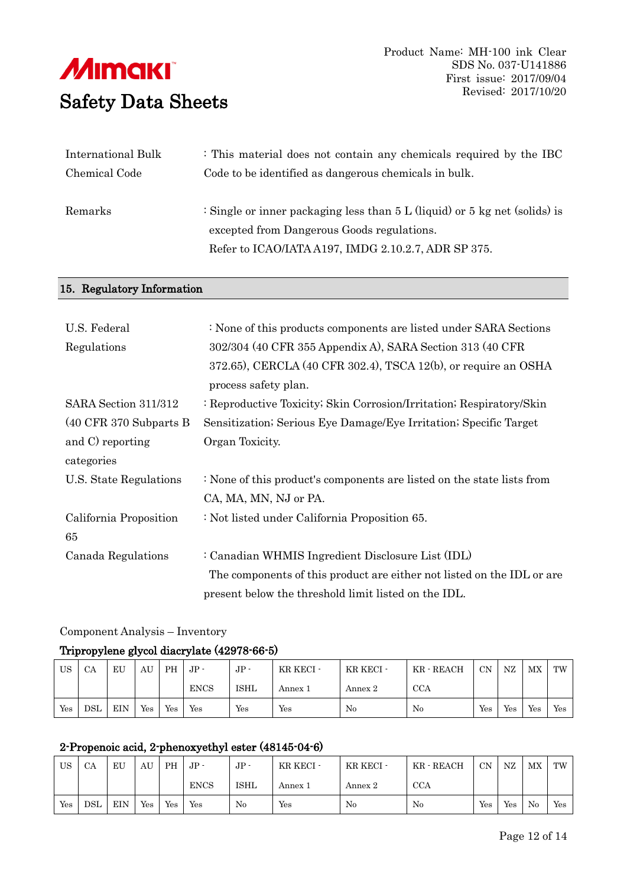| International Bulk | : This material does not contain any chemicals required by the IBC             |
|--------------------|--------------------------------------------------------------------------------|
| Chemical Code      | Code to be identified as dangerous chemicals in bulk.                          |
|                    |                                                                                |
| Remarks            | : Single or inner packaging less than $5 L$ (liquid) or $5 kg$ net (solids) is |
|                    | excepted from Dangerous Goods regulations.                                     |
|                    | Refer to ICAO/IATA A197, IMDG 2.10.2.7, ADR SP 375.                            |
|                    |                                                                                |

#### 15. Regulatory Information

| U.S. Federal             | : None of this products components are listed under SARA Sections      |
|--------------------------|------------------------------------------------------------------------|
| Regulations              | 302/304 (40 CFR 355 Appendix A), SARA Section 313 (40 CFR              |
|                          | 372.65), CERCLA (40 CFR 302.4), TSCA 12(b), or require an OSHA         |
|                          | process safety plan.                                                   |
| SARA Section 311/312     | : Reproductive Toxicity; Skin Corrosion/Irritation; Respiratory/Skin   |
| $(40$ CFR 370 Subparts B | Sensitization; Serious Eye Damage/Eye Irritation; Specific Target      |
| and C reporting          | Organ Toxicity.                                                        |
| categories               |                                                                        |
| U.S. State Regulations   | : None of this product's components are listed on the state lists from |
|                          | CA, MA, MN, NJ or PA.                                                  |
| California Proposition   | : Not listed under California Proposition 65.                          |
| 65                       |                                                                        |
| Canada Regulations       | : Canadian WHMIS Ingredient Disclosure List (IDL)                      |
|                          | The components of this product are either not listed on the IDL or are |
|                          | present below the threshold limit listed on the IDL.                   |

#### Component Analysis – Inventory

## Tripropylene glycol diacrylate (42978-66-5)

| US  | CA         | EU         | AU  | <b>PH</b> | $JP -$      | $JP -$      | KR KECI - | KR KECI - | KR - REACH | CN  | NZ  | $_{\rm MX}$ | TW  |
|-----|------------|------------|-----|-----------|-------------|-------------|-----------|-----------|------------|-----|-----|-------------|-----|
|     |            |            |     |           | <b>ENCS</b> | <b>ISHL</b> | Annex 1   | Annex 2   | <b>CCA</b> |     |     |             |     |
| Yes | <b>DSL</b> | <b>EIN</b> | Yes | Yes       | Yes         | Yes         | Yes       | No        | No         | Yes | Yes | Yes         | Yes |

## 2-Propenoic acid, 2-phenoxyethyl ester (48145-04-6)

| US  | CA         | EU         | AU  | <b>PH</b> | $\rm{JP}$ - | $JP -$      | KR KECI - | KR KECI - | KR - REACH | <b>CN</b> | NZ  | <b>MX</b> | TW  |
|-----|------------|------------|-----|-----------|-------------|-------------|-----------|-----------|------------|-----------|-----|-----------|-----|
|     |            |            |     |           | <b>ENCS</b> | <b>ISHL</b> | Annex 1   | Annex 2   | <b>CCA</b> |           |     |           |     |
| Yes | <b>DSL</b> | <b>EIN</b> | Yes | Yes       | Yes         | No          | Yes       | No        | No         | Yes       | Yes | No        | Yes |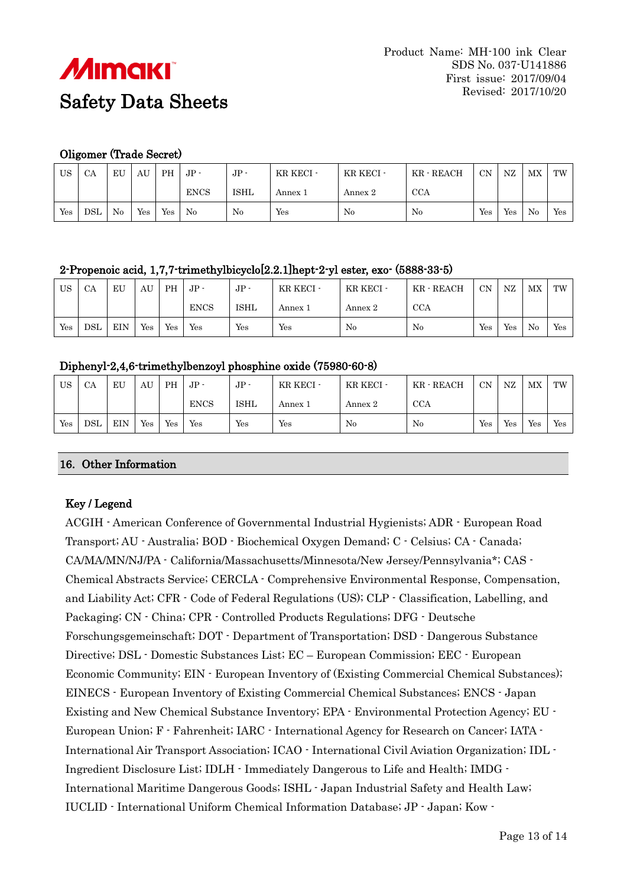

### Oligomer (Trade Secret)

| US  | CA  | EU | AU  | <b>PH</b> | $JP -$      | $JP -$      | KR KECI - | KR KECI - | KR - REACH | <b>CN</b> | NZ                   | MX       | TW  |
|-----|-----|----|-----|-----------|-------------|-------------|-----------|-----------|------------|-----------|----------------------|----------|-----|
|     |     |    |     |           | <b>ENCS</b> | <b>ISHL</b> | Annex 1   | Annex 2   | <b>CCA</b> |           |                      |          |     |
| Yes | DSL | No | Yes | Yes       | No          | No          | Yes       | No        | No         | Yes       | $\operatorname{Yes}$ | $\rm No$ | Yes |

## 2-Propenoic acid, 1,7,7-trimethylbicyclo[2.2.1]hept-2-yl ester, exo- (5888-33-5)

| US                   | CA         | EU         | AU  | <b>PH</b> | $JP-$       | $\rm{JP}$ - | KR KECI - | KR KECI - | KR - REACH | <b>CN</b> | NZ  | MX | TW  |
|----------------------|------------|------------|-----|-----------|-------------|-------------|-----------|-----------|------------|-----------|-----|----|-----|
|                      |            |            |     |           | <b>ENCS</b> | ISHL        | Annex 1   | Annex 2   | <b>CCA</b> |           |     |    |     |
| $\operatorname{Yes}$ | <b>DSL</b> | <b>EIN</b> | Yes | Yes       | Yes         | Yes         | Yes       | No        | No         | Yes       | Yes | No | Yes |

### Diphenyl-2,4,6-trimethylbenzoyl phosphine oxide (75980-60-8)

| US  | CA         | EU         | AU                   | <b>PH</b> | $\rm{JP}$ - | $JP -$      | KR KECI - | KR KECI - | KR - REACH | CN  | NZ  | <b>MX</b> | TW  |
|-----|------------|------------|----------------------|-----------|-------------|-------------|-----------|-----------|------------|-----|-----|-----------|-----|
|     |            |            |                      |           | <b>ENCS</b> | <b>ISHL</b> | Annex 1   | Annex 2   | <b>CCA</b> |     |     |           |     |
| Yes | <b>DSL</b> | <b>EIN</b> | $\operatorname{Yes}$ | Yes       | Yes         | Yes         | Yes       | No        | No         | Yes | Yes | Yes       | Yes |

#### 16. Other Information

## Key / Legend

ACGIH - American Conference of Governmental Industrial Hygienists; ADR - European Road Transport; AU - Australia; BOD - Biochemical Oxygen Demand; C - Celsius; CA - Canada; CA/MA/MN/NJ/PA - California/Massachusetts/Minnesota/New Jersey/Pennsylvania\*; CAS - Chemical Abstracts Service; CERCLA - Comprehensive Environmental Response, Compensation, and Liability Act; CFR - Code of Federal Regulations (US); CLP - Classification, Labelling, and Packaging; CN - China; CPR - Controlled Products Regulations; DFG - Deutsche Forschungsgemeinschaft; DOT - Department of Transportation; DSD - Dangerous Substance Directive; DSL - Domestic Substances List; EC – European Commission; EEC - European Economic Community; EIN - European Inventory of (Existing Commercial Chemical Substances); EINECS - European Inventory of Existing Commercial Chemical Substances; ENCS - Japan Existing and New Chemical Substance Inventory; EPA - Environmental Protection Agency; EU - European Union; F - Fahrenheit; IARC - International Agency for Research on Cancer; IATA - International Air Transport Association; ICAO - International Civil Aviation Organization; IDL - Ingredient Disclosure List; IDLH - Immediately Dangerous to Life and Health; IMDG - International Maritime Dangerous Goods; ISHL - Japan Industrial Safety and Health Law; IUCLID - International Uniform Chemical Information Database; JP - Japan; Kow -